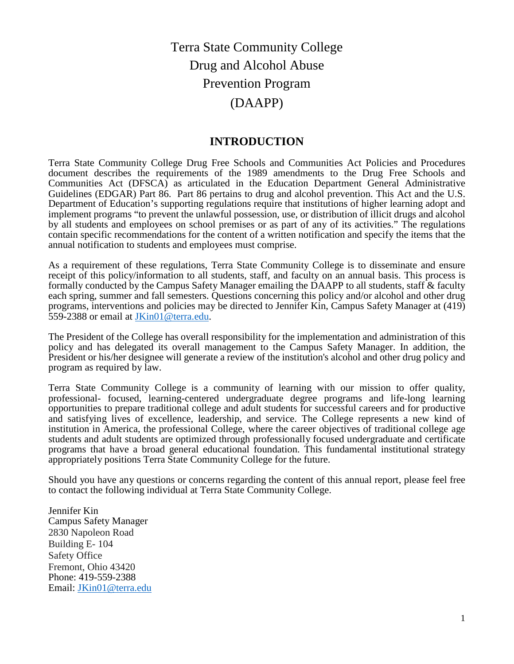# Terra State Community College Drug and Alcohol Abuse Prevention Program (DAAPP)

### **INTRODUCTION**

Terra State Community College Drug Free Schools and Communities Act Policies and Procedures document describes the requirements of the 1989 amendments to the Drug Free Schools and Communities Act (DFSCA) as articulated in the Education Department General Administrative Guidelines (EDGAR) Part 86. Part 86 pertains to drug and alcohol prevention. This Act and the U.S. Department of Education's supporting regulations require that institutions of higher learning adopt and implement programs "to prevent the unlawful possession, use, or distribution of illicit drugs and alcohol by all students and employees on school premises or as part of any of its activities." The regulations contain specific recommendations for the content of a written notification and specify the items that the annual notification to students and employees must comprise.

As a requirement of these regulations, Terra State Community College is to disseminate and ensure receipt of this policy/information to all students, staff, and faculty on an annual basis. This process is formally conducted by the Campus Safety Manager emailing the DAAPP to all students, staff & faculty each spring, summer and fall semesters. Questions concerning this policy and/or alcohol and other drug programs, interventions and policies may be directed to Jennifer Kin, Campus Safety Manager at (419) 559-2388 or email at [JKin01@terra.edu.](mailto:JKin01@terra.edu)

The President of the College has overall responsibility for the implementation and administration of this policy and has delegated its overall management to the Campus Safety Manager. In addition, the President or his/her designee will generate a review of the institution's alcohol and other drug policy and program as required by law.

Terra State Community College is a community of learning with our mission to offer quality, professional- focused, learning-centered undergraduate degree programs and life-long learning opportunities to prepare traditional college and adult students for successful careers and for productive and satisfying lives of excellence, leadership, and service. The College represents a new kind of institution in America, the professional College, where the career objectives of traditional college age students and adult students are optimized through professionally focused undergraduate and certificate programs that have a broad general educational foundation. This fundamental institutional strategy appropriately positions Terra State Community College for the future.

Should you have any questions or concerns regarding the content of this annual report, please feel free to contact the following individual at Terra State Community College.

Jennifer Kin Campus Safety Manager 2830 Napoleon Road Building E- 104 Safety Office Fremont, Ohio 43420 Phone: 419-559-2388 Email: [JKin01@terra.edu](mailto:JKin01@terra.edu)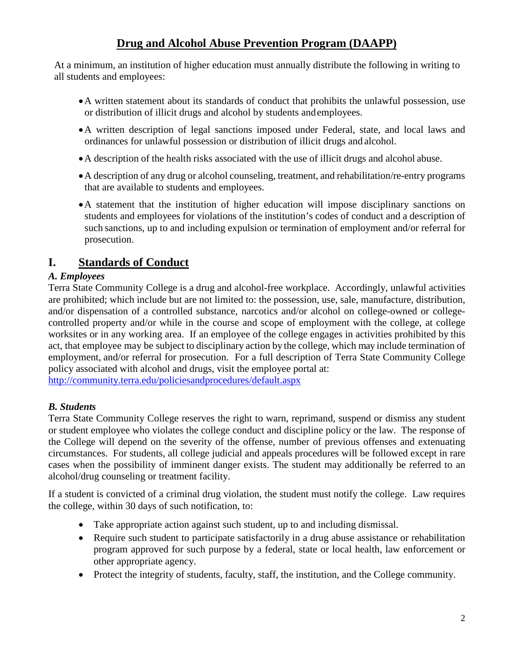## **Drug and Alcohol Abuse Prevention Program (DAAPP)**

At a minimum, an institution of higher education must annually distribute the following in writing to all students and employees:

- •A written statement about its standards of conduct that prohibits the unlawful possession, use or distribution of illicit drugs and alcohol by students andemployees.
- •A written description of legal sanctions imposed under Federal, state, and local laws and ordinances for unlawful possession or distribution of illicit drugs and alcohol.
- •A description of the health risks associated with the use of illicit drugs and alcohol abuse.
- •A description of any drug or alcohol counseling, treatment, and rehabilitation/re-entry programs that are available to students and employees.
- •A statement that the institution of higher education will impose disciplinary sanctions on students and employees for violations of the institution's codes of conduct and a description of such sanctions, up to and including expulsion or termination of employment and/or referral for prosecution.

## **I. Standards of Conduct**

### *A. Employees*

Terra State Community College is a drug and alcohol-free workplace. Accordingly, unlawful activities are prohibited; which include but are not limited to: the possession, use, sale, manufacture, distribution, and/or dispensation of a controlled substance, narcotics and/or alcohol on college-owned or collegecontrolled property and/or while in the course and scope of employment with the college, at college worksites or in any working area. If an employee of the college engages in activities prohibited by this act, that employee may be subject to disciplinary action by the college, which may include termination of employment, and/or referral for prosecution. For a full description of Terra State Community College policy associated with alcohol and drugs, visit the employee portal at:

<http://community.terra.edu/policiesandprocedures/default.aspx>

### *B. Students*

Terra State Community College reserves the right to warn, reprimand, suspend or dismiss any student or student employee who violates the college conduct and discipline policy or the law. The response of the College will depend on the severity of the offense, number of previous offenses and extenuating circumstances. For students, all college judicial and appeals procedures will be followed except in rare cases when the possibility of imminent danger exists. The student may additionally be referred to an alcohol/drug counseling or treatment facility.

If a student is convicted of a criminal drug violation, the student must notify the college. Law requires the college, within 30 days of such notification, to:

- Take appropriate action against such student, up to and including dismissal.
- Require such student to participate satisfactorily in a drug abuse assistance or rehabilitation program approved for such purpose by a federal, state or local health, law enforcement or other appropriate agency.
- Protect the integrity of students, faculty, staff, the institution, and the College community.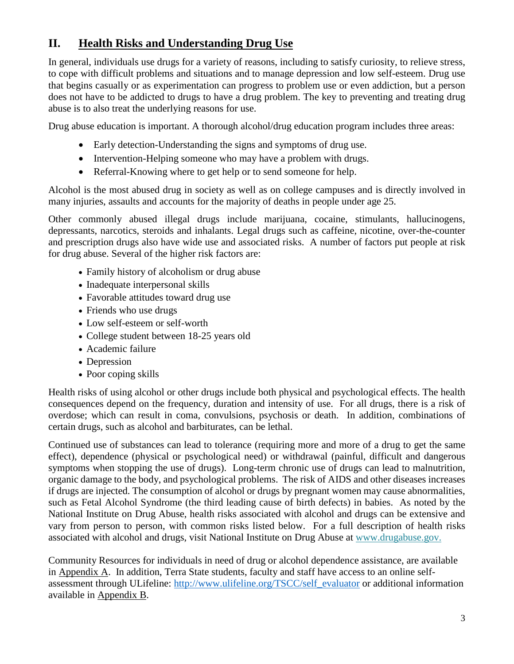## **II. Health Risks and Understanding Drug Use**

In general, individuals use drugs for a variety of reasons, including to satisfy curiosity, to relieve stress, to cope with difficult problems and situations and to manage depression and low self-esteem. Drug use that begins casually or as experimentation can progress to problem use or even addiction, but a person does not have to be addicted to drugs to have a drug problem. The key to preventing and treating drug abuse is to also treat the underlying reasons for use.

Drug abuse education is important. A thorough alcohol/drug education program includes three areas:

- Early detection-Understanding the signs and symptoms of drug use.
- Intervention-Helping someone who may have a problem with drugs.
- Referral-Knowing where to get help or to send someone for help.

Alcohol is the most abused drug in society as well as on college campuses and is directly involved in many injuries, assaults and accounts for the majority of deaths in people under age 25.

Other commonly abused illegal drugs include marijuana, cocaine, stimulants, hallucinogens, depressants, narcotics, steroids and inhalants. Legal drugs such as caffeine, nicotine, over-the-counter and prescription drugs also have wide use and associated risks. A number of factors put people at risk for drug abuse. Several of the higher risk factors are:

- Family history of alcoholism or drug abuse
- Inadequate interpersonal skills
- Favorable attitudes toward drug use
- Friends who use drugs
- Low self-esteem or self-worth
- College student between 18-25 years old
- Academic failure
- Depression
- Poor coping skills

Health risks of using alcohol or other drugs include both physical and psychological effects. The health consequences depend on the frequency, duration and intensity of use. For all drugs, there is a risk of overdose; which can result in coma, convulsions, psychosis or death. In addition, combinations of certain drugs, such as alcohol and barbiturates, can be lethal.

Continued use of substances can lead to tolerance (requiring more and more of a drug to get the same effect), dependence (physical or psychological need) or withdrawal (painful, difficult and dangerous symptoms when stopping the use of drugs). Long-term chronic use of drugs can lead to malnutrition, organic damage to the body, and psychological problems. The risk of AIDS and other diseases increases if drugs are injected. The consumption of alcohol or drugs by pregnant women may cause abnormalities, such as Fetal Alcohol Syndrome (the third leading cause of birth defects) in babies. As noted by the National Institute on Drug Abuse, health risks associated with alcohol and drugs can be extensive and vary from person to person, with common risks listed below. For a full description of health risks associated with alcohol and drugs, visit National Institute on Drug Abuse at [www.drugabuse.gov.](http://www.drugabuse.gov/)

Community Resources for individuals in need of drug or alcohol dependence assistance, are available in Appendix A. In addition, Terra State students, faculty and staff have access to an online selfassessment through ULifeline: [http://www.ulifeline.org/TSCC/self\\_evaluator](http://www.ulifeline.org/TSCC/self_evaluator) or additional information available in Appendix B.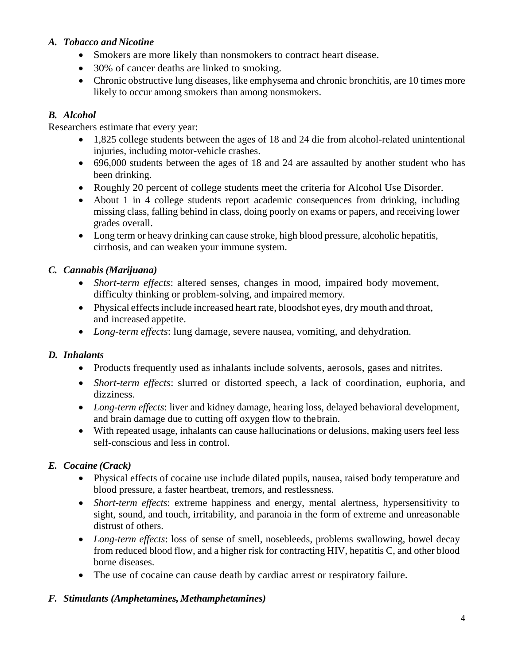### *A. Tobacco and Nicotine*

- Smokers are more likely than nonsmokers to contract heart disease.
- 30% of cancer deaths are linked to smoking.
- Chronic obstructive lung diseases, like emphysema and chronic bronchitis, are 10 times more likely to occur among smokers than among nonsmokers.

### *B. Alcohol*

Researchers estimate that every year:

- 1,825 college students between the ages of 18 and 24 die from alcohol-related unintentional injuries, including motor-vehicle crashes.
- 696,000 students between the ages of 18 and 24 are assaulted by another student who has been drinking.
- Roughly 20 percent of college students meet the criteria for Alcohol Use Disorder.
- About 1 in 4 college students report academic consequences from drinking, including missing class, falling behind in class, doing poorly on exams or papers, and receiving lower grades overall.
- Long term or heavy drinking can cause stroke, high blood pressure, alcoholic hepatitis, cirrhosis, and can weaken your immune system.

### *C. Cannabis (Marijuana)*

- *Short-term effects*: altered senses, changes in mood, impaired body movement, difficulty thinking or problem-solving, and impaired memory.
- Physical effects include increased heart rate, bloodshot eyes, dry mouth and throat, and increased appetite.
- *Long-term effects*: lung damage, severe nausea, vomiting, and dehydration.

### *D. Inhalants*

- Products frequently used as inhalants include solvents, aerosols, gases and nitrites.
- *Short-term effects*: slurred or distorted speech, a lack of coordination, euphoria, and dizziness.
- *Long-term effects*: liver and kidney damage, hearing loss, delayed behavioral development, and brain damage due to cutting off oxygen flow to thebrain.
- With repeated usage, inhalants can cause hallucinations or delusions, making users feel less self-conscious and less in control.

### *E. Cocaine (Crack)*

- Physical effects of cocaine use include dilated pupils, nausea, raised body temperature and blood pressure, a faster heartbeat, tremors, and restlessness.
- *Short-term effects*: extreme happiness and energy, mental alertness, hypersensitivity to sight, sound, and touch, irritability, and paranoia in the form of extreme and unreasonable distrust of others.
- *Long-term effects*: loss of sense of smell, nosebleeds, problems swallowing, bowel decay from reduced blood flow, and a higher risk for contracting HIV, hepatitis C, and other blood borne diseases.
- The use of cocaine can cause death by cardiac arrest or respiratory failure.

### *F. Stimulants (Amphetamines, Methamphetamines)*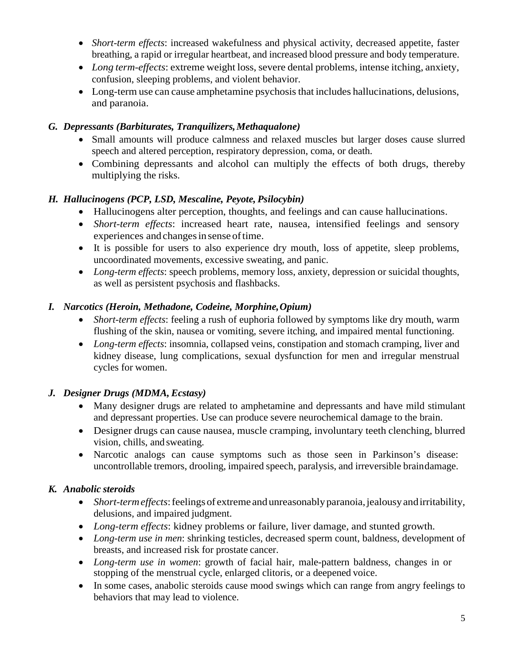- *Short-term effects*: increased wakefulness and physical activity, decreased appetite, faster breathing, a rapid or irregular heartbeat, and increased blood pressure and body temperature.
- *Long term-effects*: extreme weight loss, severe dental problems, intense itching, anxiety, confusion, sleeping problems, and violent behavior.
- Long-term use can cause amphetamine psychosis that includes hallucinations, delusions, and paranoia.

### *G. Depressants (Barbiturates, Tranquilizers,Methaqualone)*

- Small amounts will produce calmness and relaxed muscles but larger doses cause slurred speech and altered perception, respiratory depression, coma, or death.
- Combining depressants and alcohol can multiply the effects of both drugs, thereby multiplying the risks.

### *H. Hallucinogens (PCP, LSD, Mescaline, Peyote, Psilocybin)*

- Hallucinogens alter perception, thoughts, and feelings and can cause hallucinations.
- *Short-term effects*: increased heart rate, nausea, intensified feelings and sensory experiences and changes in sense of time.
- It is possible for users to also experience dry mouth, loss of appetite, sleep problems, uncoordinated movements, excessive sweating, and panic.
- *Long-term effects*: speech problems, memory loss, anxiety, depression or suicidal thoughts, as well as persistent psychosis and flashbacks.

### *I. Narcotics (Heroin, Methadone, Codeine, Morphine,Opium)*

- *Short-term effects*: feeling a rush of euphoria followed by symptoms like dry mouth, warm flushing of the skin, nausea or vomiting, severe itching, and impaired mental functioning.
- *Long-term effects*: insomnia, collapsed veins, constipation and stomach cramping, liver and kidney disease, lung complications, sexual dysfunction for men and irregular menstrual cycles for women.

### *J. Designer Drugs (MDMA, Ecstasy)*

- Many designer drugs are related to amphetamine and depressants and have mild stimulant and depressant properties. Use can produce severe neurochemical damage to the brain.
- Designer drugs can cause nausea, muscle cramping, involuntary teeth clenching, blurred vision, chills, and sweating.
- Narcotic analogs can cause symptoms such as those seen in Parkinson's disease: uncontrollable tremors, drooling, impaired speech, paralysis, and irreversible braindamage.

### *K. Anabolic steroids*

- *Short-term effects:* feelings of extreme and unreasonably paranoia, jealousy and irritability, delusions, and impaired judgment.
- *Long-term effects*: kidney problems or failure, liver damage, and stunted growth.
- *Long-term use in men*: shrinking testicles, decreased sperm count, baldness, development of breasts, and increased risk for prostate cancer.
- *Long-term use in women*: growth of facial hair, male-pattern baldness, changes in or stopping of the menstrual cycle, enlarged clitoris, or a deepened voice.
- In some cases, anabolic steroids cause mood swings which can range from angry feelings to behaviors that may lead to violence.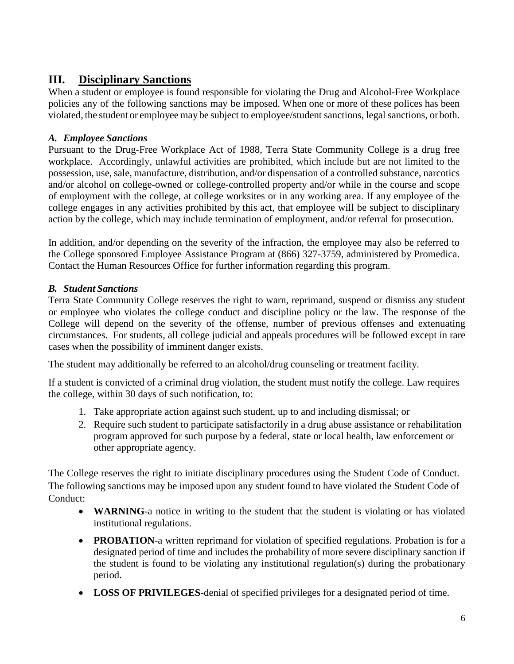## **III. Disciplinary Sanctions**

When a student or employee is found responsible for violating the Drug and Alcohol-Free Workplace policies any of the following sanctions may be imposed. When one or more of these polices has been violated, the student or employee may be subject to employee/student sanctions, legal sanctions, orboth.

### *A. Employee Sanctions*

Pursuant to the Drug-Free Workplace Act of 1988, Terra State Community College is a drug free workplace. Accordingly, unlawful activities are prohibited, which include but are not limited to the possession, use, sale, manufacture, distribution, and/or dispensation of a controlled substance, narcotics and/or alcohol on college-owned or college-controlled property and/or while in the course and scope of employment with the college, at college worksites or in any working area. If any employee of the college engages in any activities prohibited by this act, that employee will be subject to disciplinary action by the college, which may include termination of employment, and/or referral for prosecution.

In addition, and/or depending on the severity of the infraction, the employee may also be referred to the College sponsored Employee Assistance Program at (866) 327-3759, administered by Promedica. Contact the Human Resources Office for further information regarding this program.

### *B. Student Sanctions*

Terra State Community College reserves the right to warn, reprimand, suspend or dismiss any student or employee who violates the college conduct and discipline policy or the law. The response of the College will depend on the severity of the offense, number of previous offenses and extenuating circumstances. For students, all college judicial and appeals procedures will be followed except in rare cases when the possibility of imminent danger exists.

The student may additionally be referred to an alcohol/drug counseling or treatment facility.

If a student is convicted of a criminal drug violation, the student must notify the college. Law requires the college, within 30 days of such notification, to:

- 1. Take appropriate action against such student, up to and including dismissal; or
- 2. Require such student to participate satisfactorily in a drug abuse assistance or rehabilitation program approved for such purpose by a federal, state or local health, law enforcement or other appropriate agency.

The College reserves the right to initiate disciplinary procedures using the Student Code of Conduct. The following sanctions may be imposed upon any student found to have violated the Student Code of Conduct:

- **WARNING**-a notice in writing to the student that the student is violating or has violated institutional regulations.
- **PROBATION**-a written reprimand for violation of specified regulations. Probation is for a designated period of time and includes the probability of more severe disciplinary sanction if the student is found to be violating any institutional regulation(s) during the probationary period.
- **LOSS OF PRIVILEGES**-denial of specified privileges for a designated period of time.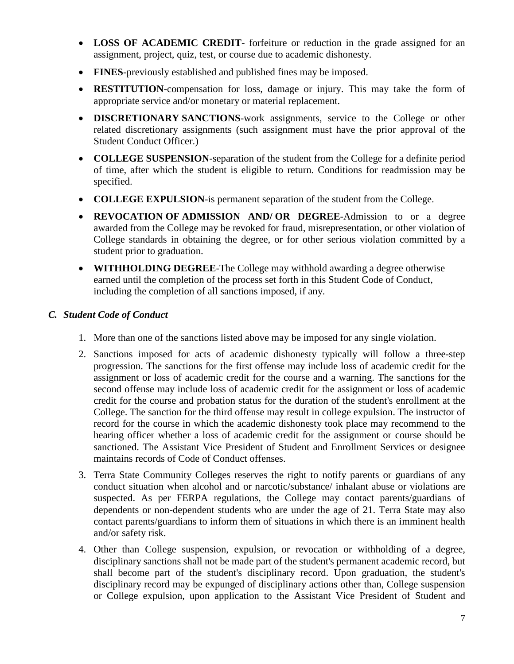- **LOSS OF ACADEMIC CREDIT** forfeiture or reduction in the grade assigned for an assignment, project, quiz, test, or course due to academic dishonesty.
- **FINES**-previously established and published fines may be imposed.
- **RESTITUTION**-compensation for loss, damage or injury. This may take the form of appropriate service and/or monetary or material replacement.
- **DISCRETIONARY SANCTIONS**-work assignments, service to the College or other related discretionary assignments (such assignment must have the prior approval of the Student Conduct Officer.)
- **COLLEGE SUSPENSION**-separation of the student from the College for a definite period of time, after which the student is eligible to return. Conditions for readmission may be specified.
- **COLLEGE EXPULSION**-is permanent separation of the student from the College.
- **REVOCATION OF ADMISSION AND/ OR DEGREE**-Admission to or a degree awarded from the College may be revoked for fraud, misrepresentation, or other violation of College standards in obtaining the degree, or for other serious violation committed by a student prior to graduation.
- **WITHHOLDING DEGREE**-The College may withhold awarding a degree otherwise earned until the completion of the process set forth in this Student Code of Conduct, including the completion of all sanctions imposed, if any.

#### *C. Student Code of Conduct*

- 1. More than one of the sanctions listed above may be imposed for any single violation.
- 2. Sanctions imposed for acts of academic dishonesty typically will follow a three-step progression. The sanctions for the first offense may include loss of academic credit for the assignment or loss of academic credit for the course and a warning. The sanctions for the second offense may include loss of academic credit for the assignment or loss of academic credit for the course and probation status for the duration of the student's enrollment at the College. The sanction for the third offense may result in college expulsion. The instructor of record for the course in which the academic dishonesty took place may recommend to the hearing officer whether a loss of academic credit for the assignment or course should be sanctioned. The Assistant Vice President of Student and Enrollment Services or designee maintains records of Code of Conduct offenses.
- 3. Terra State Community Colleges reserves the right to notify parents or guardians of any conduct situation when alcohol and or narcotic/substance/ inhalant abuse or violations are suspected. As per FERPA regulations, the College may contact parents/guardians of dependents or non-dependent students who are under the age of 21. Terra State may also contact parents/guardians to inform them of situations in which there is an imminent health and/or safety risk.
- 4. Other than College suspension, expulsion, or revocation or withholding of a degree, disciplinary sanctions shall not be made part of the student's permanent academic record, but shall become part of the student's disciplinary record. Upon graduation, the student's disciplinary record may be expunged of disciplinary actions other than, College suspension or College expulsion, upon application to the Assistant Vice President of Student and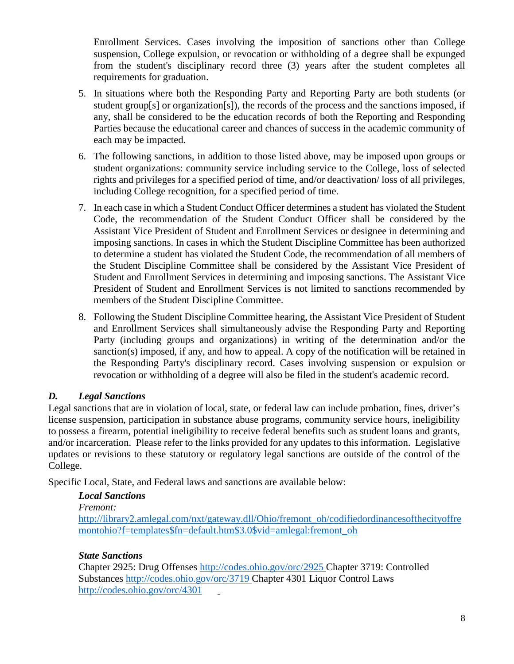Enrollment Services. Cases involving the imposition of sanctions other than College suspension, College expulsion, or revocation or withholding of a degree shall be expunged from the student's disciplinary record three (3) years after the student completes all requirements for graduation.

- 5. In situations where both the Responding Party and Reporting Party are both students (or student group[s] or organization[s]), the records of the process and the sanctions imposed, if any, shall be considered to be the education records of both the Reporting and Responding Parties because the educational career and chances of success in the academic community of each may be impacted.
- 6. The following sanctions, in addition to those listed above, may be imposed upon groups or student organizations: community service including service to the College, loss of selected rights and privileges for a specified period of time, and/or deactivation/ loss of all privileges, including College recognition, for a specified period of time.
- 7. In each case in which a Student Conduct Officer determines a student has violated the Student Code, the recommendation of the Student Conduct Officer shall be considered by the Assistant Vice President of Student and Enrollment Services or designee in determining and imposing sanctions. In cases in which the Student Discipline Committee has been authorized to determine a student has violated the Student Code, the recommendation of all members of the Student Discipline Committee shall be considered by the Assistant Vice President of Student and Enrollment Services in determining and imposing sanctions. The Assistant Vice President of Student and Enrollment Services is not limited to sanctions recommended by members of the Student Discipline Committee.
- 8. Following the Student Discipline Committee hearing, the Assistant Vice President of Student and Enrollment Services shall simultaneously advise the Responding Party and Reporting Party (including groups and organizations) in writing of the determination and/or the sanction(s) imposed, if any, and how to appeal. A copy of the notification will be retained in the Responding Party's disciplinary record. Cases involving suspension or expulsion or revocation or withholding of a degree will also be filed in the student's academic record.

### *D. Legal Sanctions*

Legal sanctions that are in violation of local, state, or federal law can include probation, fines, driver's license suspension, participation in substance abuse programs, community service hours, ineligibility to possess a firearm, potential ineligibility to receive federal benefits such as student loans and grants, and/or incarceration. Please refer to the links provided for any updates to this information. Legislative updates or revisions to these statutory or regulatory legal sanctions are outside of the control of the College.

Specific Local, State, and Federal laws and sanctions are available below:

### *Local Sanctions*

*Fremont:*

[http://library2.amlegal.com/nxt/gateway.dll/Ohio/fremont\\_oh/codifiedordinancesofthecityoffre](http://library2.amlegal.com/nxt/gateway.dll/Ohio/fremont_oh/codifiedordinancesofthecityoffremontohio?f=templates$fn=default.htm$3.0$vid=amlegal:fremont_oh) [montohio?f=templates\\$fn=default.htm\\$3.0\\$vid=amlegal:fremont\\_oh](http://library2.amlegal.com/nxt/gateway.dll/Ohio/fremont_oh/codifiedordinancesofthecityoffremontohio?f=templates$fn=default.htm$3.0$vid=amlegal:fremont_oh)

### *State Sanctions*

Chapter 2925: Drug Offenses<http://codes.ohio.gov/orc/2925> Chapter 3719: Controlled Substances<http://codes.ohio.gov/orc/3719> Chapter 4301 Liquor Control Laws <http://codes.ohio.gov/orc/4301>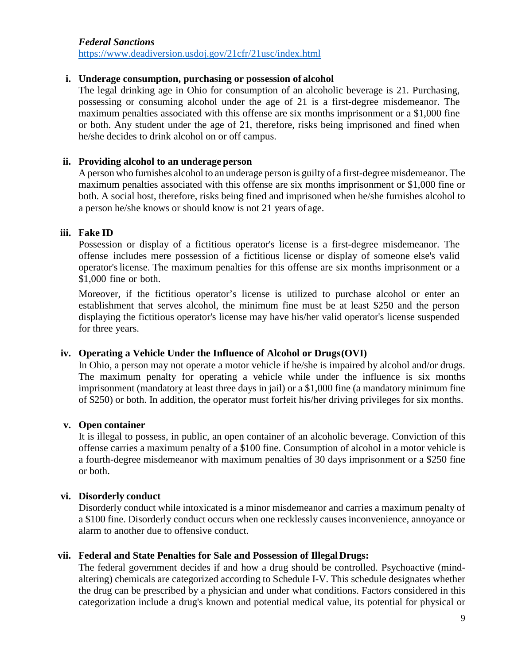#### *Federal Sanctions*

[https://www.deadiversion.usdoj.gov/21cfr/21usc/index.html](http://www.deadiversion.usdoj.gov/21cfr/21usc/index.html)

#### **i. Underage consumption, purchasing or possession of alcohol**

The legal drinking age in Ohio for consumption of an alcoholic beverage is 21. Purchasing, possessing or consuming alcohol under the age of 21 is a first-degree misdemeanor. The maximum penalties associated with this offense are six months imprisonment or a \$1,000 fine or both. Any student under the age of 21, therefore, risks being imprisoned and fined when he/she decides to drink alcohol on or off campus.

#### **ii. Providing alcohol to an underage person**

A person who furnishes alcohol to an underage person is guilty of a first-degree misdemeanor. The maximum penalties associated with this offense are six months imprisonment or \$1,000 fine or both. A social host, therefore, risks being fined and imprisoned when he/she furnishes alcohol to a person he/she knows or should know is not 21 years of age.

#### **iii. Fake ID**

Possession or display of a fictitious operator's license is a first-degree misdemeanor. The offense includes mere possession of a fictitious license or display of someone else's valid operator'slicense. The maximum penalties for this offense are six months imprisonment or a \$1,000 fine or both.

Moreover, if the fictitious operator's license is utilized to purchase alcohol or enter an establishment that serves alcohol, the minimum fine must be at least \$250 and the person displaying the fictitious operator's license may have his/her valid operator's license suspended for three years.

#### **iv. Operating a Vehicle Under the Influence of Alcohol or Drugs(OVI)**

In Ohio, a person may not operate a motor vehicle if he/she is impaired by alcohol and/or drugs. The maximum penalty for operating a vehicle while under the influence is six months imprisonment (mandatory at least three days in jail) or a \$1,000 fine (a mandatory minimum fine of \$250) or both. In addition, the operator must forfeit his/her driving privileges for six months.

#### **v. Open container**

It is illegal to possess, in public, an open container of an alcoholic beverage. Conviction of this offense carries a maximum penalty of a \$100 fine. Consumption of alcohol in a motor vehicle is a fourth-degree misdemeanor with maximum penalties of 30 days imprisonment or a \$250 fine or both.

#### **vi. Disorderly conduct**

Disorderly conduct while intoxicated is a minor misdemeanor and carries a maximum penalty of a \$100 fine. Disorderly conduct occurs when one recklessly causes inconvenience, annoyance or alarm to another due to offensive conduct.

#### **vii. Federal and State Penalties for Sale and Possession of IllegalDrugs:**

The federal government decides if and how a drug should be controlled. Psychoactive (mindaltering) chemicals are categorized according to Schedule I-V. This schedule designates whether the drug can be prescribed by a physician and under what conditions. Factors considered in this categorization include a drug's known and potential medical value, its potential for physical or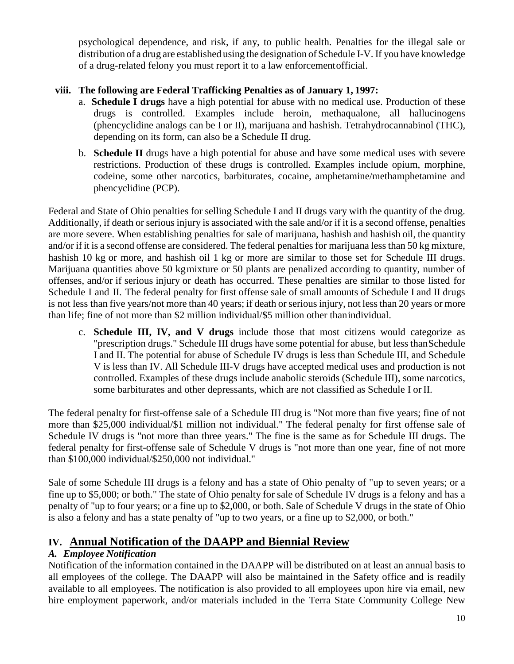psychological dependence, and risk, if any, to public health. Penalties for the illegal sale or distribution of a drug are established using the designation of Schedule I-V. If you have knowledge of a drug-related felony you must report it to a law enforcementofficial.

### **viii. The following are Federal Trafficking Penalties as of January 1, 1997:**

- a. **Schedule I drugs** have a high potential for abuse with no medical use. Production of these drugs is controlled. Examples include heroin, methaqualone, all hallucinogens (phencyclidine analogs can be I or II), marijuana and hashish. Tetrahydrocannabinol (THC), depending on its form, can also be a Schedule II drug.
- b. **Schedule II** drugs have a high potential for abuse and have some medical uses with severe restrictions. Production of these drugs is controlled. Examples include opium, morphine, codeine, some other narcotics, barbiturates, cocaine, amphetamine/methamphetamine and phencyclidine (PCP).

Federal and State of Ohio penalties for selling Schedule I and II drugs vary with the quantity of the drug. Additionally, if death or serious injury is associated with the sale and/or if it is a second offense, penalties are more severe. When establishing penalties for sale of marijuana, hashish and hashish oil, the quantity and/or if it is a second offense are considered. The federal penalties for marijuana less than 50 kg mixture, hashish 10 kg or more, and hashish oil 1 kg or more are similar to those set for Schedule III drugs. Marijuana quantities above 50 kgmixture or 50 plants are penalized according to quantity, number of offenses, and/or if serious injury or death has occurred. These penalties are similar to those listed for Schedule I and II. The federal penalty for first offense sale of small amounts of Schedule I and II drugs is not less than five years/not more than 40 years; if death or serious injury, not less than 20 years or more than life; fine of not more than \$2 million individual/\$5 million other thanindividual.

c. **Schedule III, IV, and V drugs** include those that most citizens would categorize as "prescription drugs." Schedule III drugs have some potential for abuse, but less thanSchedule I and II. The potential for abuse of Schedule IV drugs is less than Schedule III, and Schedule V is less than IV. All Schedule III-V drugs have accepted medical uses and production is not controlled. Examples of these drugs include anabolic steroids (Schedule III), some narcotics, some barbiturates and other depressants, which are not classified as Schedule I or II.

The federal penalty for first-offense sale of a Schedule III drug is "Not more than five years; fine of not more than \$25,000 individual/\$1 million not individual." The federal penalty for first offense sale of Schedule IV drugs is "not more than three years." The fine is the same as for Schedule III drugs. The federal penalty for first-offense sale of Schedule V drugs is "not more than one year, fine of not more than \$100,000 individual/\$250,000 not individual."

Sale of some Schedule III drugs is a felony and has a state of Ohio penalty of "up to seven years; or a fine up to \$5,000; or both." The state of Ohio penalty for sale of Schedule IV drugs is a felony and has a penalty of "up to four years; or a fine up to \$2,000, or both. Sale of Schedule V drugs in the state of Ohio is also a felony and has a state penalty of "up to two years, or a fine up to \$2,000, or both."

### **IV. Annual Notification of the DAAPP and Biennial Review**

### *A. Employee Notification*

Notification of the information contained in the DAAPP will be distributed on at least an annual basis to all employees of the college. The DAAPP will also be maintained in the Safety office and is readily available to all employees. The notification is also provided to all employees upon hire via email, new hire employment paperwork, and/or materials included in the Terra State Community College New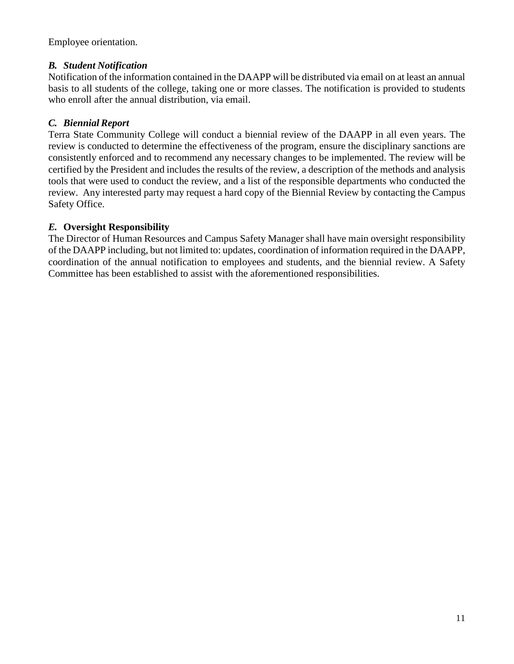Employee orientation.

### *B. Student Notification*

Notification of the information contained in the DAAPP will be distributed via email on at least an annual basis to all students of the college, taking one or more classes. The notification is provided to students who enroll after the annual distribution, via email.

### *C. Biennial Report*

Terra State Community College will conduct a biennial review of the DAAPP in all even years. The review is conducted to determine the effectiveness of the program, ensure the disciplinary sanctions are consistently enforced and to recommend any necessary changes to be implemented. The review will be certified by the President and includes the results of the review, a description of the methods and analysis tools that were used to conduct the review, and a list of the responsible departments who conducted the review. Any interested party may request a hard copy of the Biennial Review by contacting the Campus Safety Office.

### *E.* **Oversight Responsibility**

The Director of Human Resources and Campus Safety Manager shall have main oversight responsibility of the DAAPP including, but not limited to: updates, coordination of information required in the DAAPP, coordination of the annual notification to employees and students, and the biennial review. A Safety Committee has been established to assist with the aforementioned responsibilities.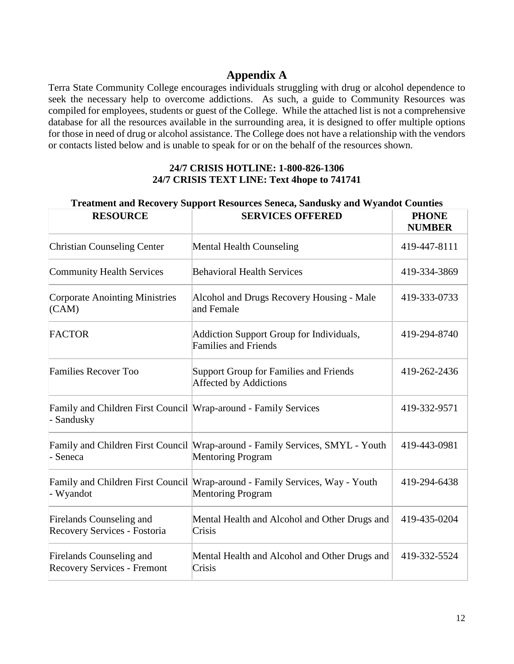### **Appendix A**

Terra State Community College encourages individuals struggling with drug or alcohol dependence to seek the necessary help to overcome addictions. As such, a guide to Community Resources was compiled for employees, students or guest of the College. While the attached list is not a comprehensive database for all the resources available in the surrounding area, it is designed to offer multiple options for those in need of drug or alcohol assistance. The College does not have a relationship with the vendors or contacts listed below and is unable to speak for or on the behalf of the resources shown.

#### **24/7 CRISIS HOTLINE: 1-800-826-1306 24/7 CRISIS TEXT LINE: Text 4hope to 741741**

| <b>RESOURCE</b>                                                             | <b>SERVICES OFFERED</b>                                                                                    | <b>PHONE</b><br><b>NUMBER</b> |
|-----------------------------------------------------------------------------|------------------------------------------------------------------------------------------------------------|-------------------------------|
| <b>Christian Counseling Center</b>                                          | <b>Mental Health Counseling</b>                                                                            | 419-447-8111                  |
| <b>Community Health Services</b>                                            | <b>Behavioral Health Services</b>                                                                          | 419-334-3869                  |
| <b>Corporate Anointing Ministries</b><br>(CAM)                              | Alcohol and Drugs Recovery Housing - Male<br>and Female                                                    | 419-333-0733                  |
| <b>FACTOR</b>                                                               | Addiction Support Group for Individuals,<br><b>Families and Friends</b>                                    | 419-294-8740                  |
| <b>Families Recover Too</b>                                                 | Support Group for Families and Friends<br>Affected by Addictions                                           | 419-262-2436                  |
| Family and Children First Council Wrap-around - Family Services<br>Sandusky |                                                                                                            | 419-332-9571                  |
| Seneca                                                                      | Family and Children First Council Wrap-around - Family Services, SMYL - Youth<br><b>Mentoring Program</b>  | 419-443-0981                  |
| Wyandot                                                                     | Family and Children First Council   Wrap-around - Family Services, Way - Youth<br><b>Mentoring Program</b> | 419-294-6438                  |
| Firelands Counseling and<br>Recovery Services - Fostoria                    | Mental Health and Alcohol and Other Drugs and<br>Crisis                                                    | 419-435-0204                  |
| Firelands Counseling and<br><b>Recovery Services - Fremont</b>              | Mental Health and Alcohol and Other Drugs and<br>Crisis                                                    | 419-332-5524                  |

#### **Treatment and Recovery Support Resources Seneca, Sandusky and Wyandot Counties**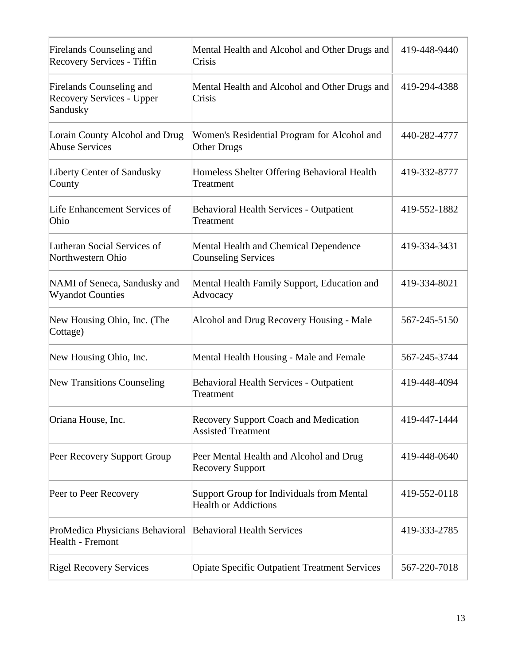| Firelands Counseling and<br>Recovery Services - Tiffin            | Mental Health and Alcohol and Other Drugs and<br>Crisis                   | 419-448-9440 |
|-------------------------------------------------------------------|---------------------------------------------------------------------------|--------------|
| Firelands Counseling and<br>Recovery Services - Upper<br>Sandusky | Mental Health and Alcohol and Other Drugs and<br>Crisis                   | 419-294-4388 |
| Lorain County Alcohol and Drug<br><b>Abuse Services</b>           | Women's Residential Program for Alcohol and<br>Other Drugs                | 440-282-4777 |
| Liberty Center of Sandusky<br>County                              | Homeless Shelter Offering Behavioral Health<br>Treatment                  | 419-332-8777 |
| Life Enhancement Services of<br>Ohio                              | <b>Behavioral Health Services - Outpatient</b><br>Treatment               | 419-552-1882 |
| Lutheran Social Services of<br>Northwestern Ohio                  | Mental Health and Chemical Dependence<br><b>Counseling Services</b>       | 419-334-3431 |
| NAMI of Seneca, Sandusky and<br><b>Wyandot Counties</b>           | Mental Health Family Support, Education and<br>Advocacy                   | 419-334-8021 |
| New Housing Ohio, Inc. (The<br>Cottage)                           | Alcohol and Drug Recovery Housing - Male                                  | 567-245-5150 |
| New Housing Ohio, Inc.                                            | Mental Health Housing - Male and Female                                   | 567-245-3744 |
| <b>New Transitions Counseling</b>                                 | <b>Behavioral Health Services - Outpatient</b><br>Treatment               | 419-448-4094 |
| Oriana House, Inc.                                                | <b>Recovery Support Coach and Medication</b><br><b>Assisted Treatment</b> | 419-447-1444 |
| Peer Recovery Support Group                                       | Peer Mental Health and Alcohol and Drug<br><b>Recovery Support</b>        | 419-448-0640 |
| Peer to Peer Recovery                                             | Support Group for Individuals from Mental<br><b>Health or Addictions</b>  | 419-552-0118 |
| ProMedica Physicians Behavioral<br>Health - Fremont               | <b>Behavioral Health Services</b>                                         | 419-333-2785 |
| <b>Rigel Recovery Services</b>                                    | <b>Opiate Specific Outpatient Treatment Services</b>                      | 567-220-7018 |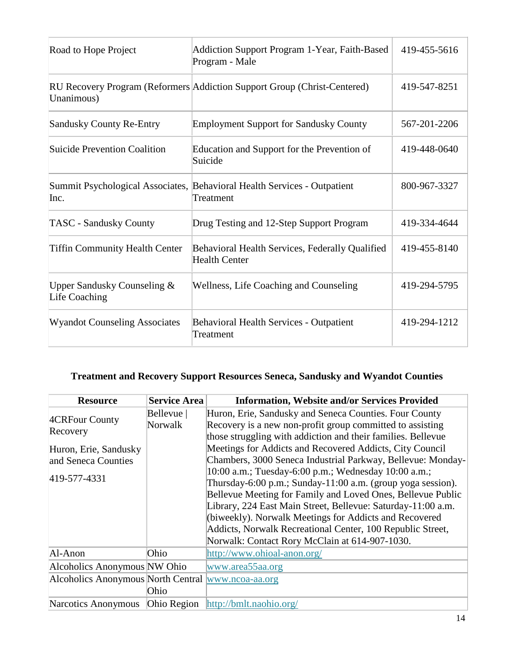| Road to Hope Project                           | Addiction Support Program 1-Year, Faith-Based<br>Program - Male                       | 419-455-5616 |
|------------------------------------------------|---------------------------------------------------------------------------------------|--------------|
| Unanimous)                                     | RU Recovery Program (Reformers Addiction Support Group (Christ-Centered)              | 419-547-8251 |
| <b>Sandusky County Re-Entry</b>                | <b>Employment Support for Sandusky County</b>                                         | 567-201-2206 |
| <b>Suicide Prevention Coalition</b>            | Education and Support for the Prevention of<br>Suicide                                | 419-448-0640 |
| Inc.                                           | Summit Psychological Associates, Behavioral Health Services - Outpatient<br>Treatment | 800-967-3327 |
| <b>TASC - Sandusky County</b>                  | Drug Testing and 12-Step Support Program                                              | 419-334-4644 |
| <b>Tiffin Community Health Center</b>          | Behavioral Health Services, Federally Qualified<br><b>Health Center</b>               | 419-455-8140 |
| Upper Sandusky Counseling $&$<br>Life Coaching | Wellness, Life Coaching and Counseling                                                | 419-294-5795 |
| <b>Wyandot Counseling Associates</b>           | <b>Behavioral Health Services - Outpatient</b><br>Treatment                           | 419-294-1212 |

## **Treatment and Recovery Support Resources Seneca, Sandusky and Wyandot Counties**

| <b>Resource</b>                                    | <b>Service Area</b> | <b>Information, Website and/or Services Provided</b>         |
|----------------------------------------------------|---------------------|--------------------------------------------------------------|
| 4CRFour County<br>Recovery                         | Bellevue            | Huron, Erie, Sandusky and Seneca Counties. Four County       |
|                                                    | Norwalk             | Recovery is a new non-profit group committed to assisting    |
|                                                    |                     | those struggling with addiction and their families. Bellevue |
| Huron, Erie, Sandusky                              |                     | Meetings for Addicts and Recovered Addicts, City Council     |
| and Seneca Counties                                |                     | Chambers, 3000 Seneca Industrial Parkway, Bellevue: Monday-  |
| 419-577-4331                                       |                     | 10:00 a.m.; Tuesday-6:00 p.m.; Wednesday 10:00 a.m.;         |
|                                                    |                     | Thursday-6:00 p.m.; Sunday-11:00 a.m. (group yoga session).  |
|                                                    |                     | Bellevue Meeting for Family and Loved Ones, Bellevue Public  |
|                                                    |                     | Library, 224 East Main Street, Bellevue: Saturday-11:00 a.m. |
|                                                    |                     | (biweekly). Norwalk Meetings for Addicts and Recovered       |
|                                                    |                     | Addicts, Norwalk Recreational Center, 100 Republic Street,   |
|                                                    |                     | Norwalk: Contact Rory McClain at 614-907-1030.               |
| Al-Anon                                            | Ohio                | http://www.ohioal-anon.org/                                  |
| Alcoholics Anonymous NW Ohio                       |                     | www.area55aa.org                                             |
| Alcoholics Anonymous North Central www.ncoa-aa.org |                     |                                                              |
|                                                    | Ohio                |                                                              |
| Narcotics Anonymous                                |                     | Ohio Region http://bmlt.naohio.org/                          |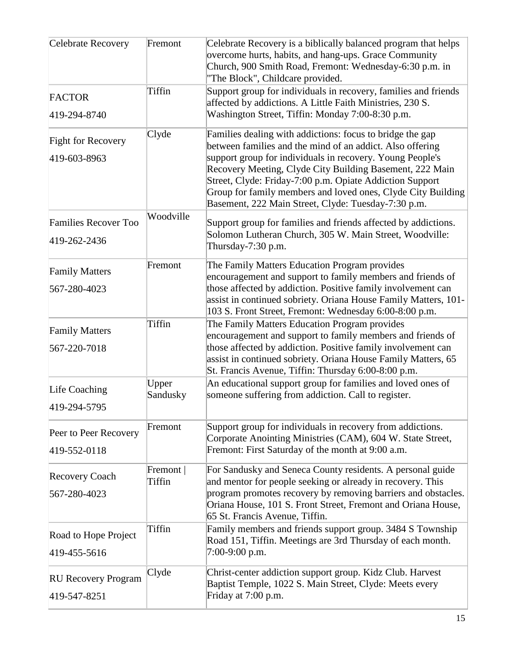| <b>Celebrate Recovery</b>                   | Fremont             | Celebrate Recovery is a biblically balanced program that helps<br>overcome hurts, habits, and hang-ups. Grace Community<br>Church, 900 Smith Road, Fremont: Wednesday-6:30 p.m. in                                                                                                                                                                                                                                                 |
|---------------------------------------------|---------------------|------------------------------------------------------------------------------------------------------------------------------------------------------------------------------------------------------------------------------------------------------------------------------------------------------------------------------------------------------------------------------------------------------------------------------------|
| <b>FACTOR</b><br>419-294-8740               | Tiffin              | "The Block", Childcare provided.<br>Support group for individuals in recovery, families and friends<br>affected by addictions. A Little Faith Ministries, 230 S.<br>Washington Street, Tiffin: Monday 7:00-8:30 p.m.                                                                                                                                                                                                               |
| <b>Fight for Recovery</b><br>419-603-8963   | Clyde               | Families dealing with addictions: focus to bridge the gap<br>between families and the mind of an addict. Also offering<br>support group for individuals in recovery. Young People's<br>Recovery Meeting, Clyde City Building Basement, 222 Main<br>Street, Clyde: Friday-7:00 p.m. Opiate Addiction Support<br>Group for family members and loved ones, Clyde City Building<br>Basement, 222 Main Street, Clyde: Tuesday-7:30 p.m. |
| <b>Families Recover Too</b><br>419-262-2436 | Woodville           | Support group for families and friends affected by addictions.<br>Solomon Lutheran Church, 305 W. Main Street, Woodville:<br>Thursday-7:30 p.m.                                                                                                                                                                                                                                                                                    |
| <b>Family Matters</b><br>567-280-4023       | Fremont             | The Family Matters Education Program provides<br>encouragement and support to family members and friends of<br>those affected by addiction. Positive family involvement can<br>assist in continued sobriety. Oriana House Family Matters, 101-<br>103 S. Front Street, Fremont: Wednesday 6:00-8:00 p.m.                                                                                                                           |
| <b>Family Matters</b><br>567-220-7018       | Tiffin              | The Family Matters Education Program provides<br>encouragement and support to family members and friends of<br>those affected by addiction. Positive family involvement can<br>assist in continued sobriety. Oriana House Family Matters, 65<br>St. Francis Avenue, Tiffin: Thursday 6:00-8:00 p.m.                                                                                                                                |
| Life Coaching<br>419-294-5795               | Upper<br>Sandusky   | An educational support group for families and loved ones of<br>someone suffering from addiction. Call to register.                                                                                                                                                                                                                                                                                                                 |
| Peer to Peer Recovery<br>419-552-0118       | Fremont             | Support group for individuals in recovery from addictions.<br>Corporate Anointing Ministries (CAM), 604 W. State Street,<br>Fremont: First Saturday of the month at 9:00 a.m.                                                                                                                                                                                                                                                      |
| Recovery Coach<br>567-280-4023              | Fremont  <br>Tiffin | For Sandusky and Seneca County residents. A personal guide<br>and mentor for people seeking or already in recovery. This<br>program promotes recovery by removing barriers and obstacles.<br>Oriana House, 101 S. Front Street, Fremont and Oriana House,<br>65 St. Francis Avenue, Tiffin.                                                                                                                                        |
| Road to Hope Project<br>419-455-5616        | Tiffin              | Family members and friends support group. 3484 S Township<br>Road 151, Tiffin. Meetings are 3rd Thursday of each month.<br>$7:00-9:00$ p.m.                                                                                                                                                                                                                                                                                        |
| <b>RU Recovery Program</b><br>419-547-8251  | Clyde               | Christ-center addiction support group. Kidz Club. Harvest<br>Baptist Temple, 1022 S. Main Street, Clyde: Meets every<br>Friday at 7:00 p.m.                                                                                                                                                                                                                                                                                        |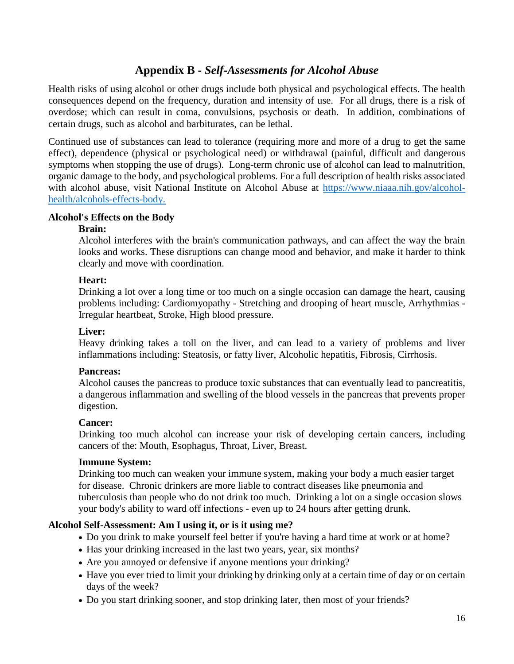## **Appendix B -** *Self-Assessments for Alcohol Abuse*

Health risks of using alcohol or other drugs include both physical and psychological effects. The health consequences depend on the frequency, duration and intensity of use. For all drugs, there is a risk of overdose; which can result in coma, convulsions, psychosis or death. In addition, combinations of certain drugs, such as alcohol and barbiturates, can be lethal.

Continued use of substances can lead to tolerance (requiring more and more of a drug to get the same effect), dependence (physical or psychological need) or withdrawal (painful, difficult and dangerous symptoms when stopping the use of drugs). Long-term chronic use of alcohol can lead to malnutrition, organic damage to the body, and psychological problems. For a full description of health risks associated with alcohol abuse, visit National Institute on Alcohol Abuse at [https://www.niaaa.nih.gov/alcohol](https://www.niaaa.nih.gov/alcohol-health/alcohols-effects-body)[health/alcohols-effects-body.](https://www.niaaa.nih.gov/alcohol-health/alcohols-effects-body)

#### **Alcohol's Effects on the Body**

#### **Brain:**

Alcohol interferes with the brain's communication pathways, and can affect the way the brain looks and works. These disruptions can change mood and behavior, and make it harder to think clearly and move with coordination.

#### **Heart:**

Drinking a lot over a long time or too much on a single occasion can damage the heart, causing problems including: Cardiomyopathy - Stretching and drooping of heart muscle, Arrhythmias - Irregular heartbeat, Stroke, High blood pressure.

#### **Liver:**

Heavy drinking takes a toll on the liver, and can lead to a variety of problems and liver inflammations including: Steatosis, or fatty liver, Alcoholic hepatitis, Fibrosis, Cirrhosis.

### **Pancreas:**

Alcohol causes the pancreas to produce toxic substances that can eventually lead to pancreatitis, a dangerous inflammation and swelling of the blood vessels in the pancreas that prevents proper digestion.

#### **Cancer:**

Drinking too much alcohol can increase your risk of developing certain cancers, including cancers of the: Mouth, Esophagus, Throat, Liver, Breast.

#### **Immune System:**

Drinking too much can weaken your immune system, making your body a much easier target for disease. Chronic drinkers are more liable to contract diseases like pneumonia and tuberculosis than people who do not drink too much. Drinking a lot on a single occasion slows your body's ability to ward off infections - even up to 24 hours after getting drunk.

### **Alcohol Self-Assessment: Am I using it, or is it using me?**

- Do you drink to make yourself feel better if you're having a hard time at work or at home?
- Has your drinking increased in the last two years, year, six months?
- Are you annoyed or defensive if anyone mentions your drinking?
- Have you ever tried to limit your drinking by drinking only at a certain time of day or on certain days of the week?
- Do you start drinking sooner, and stop drinking later, then most of your friends?